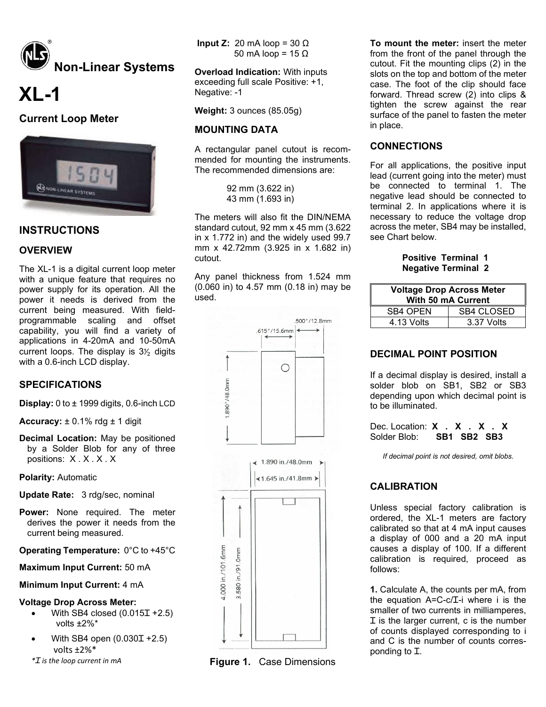

# **XL-1**

# **Current Loop Meter**



# **INSTRUCTIONS**

## **OVERVIEW**

The XL-1 is a digital current loop meter with a unique feature that requires no power supply for its operation. All the power it needs is derived from the current being measured. With fieldprogrammable scaling and offset capability, you will find a variety of applications in 4-20mA and 10-50mA current loops. The display is  $3\frac{1}{2}$  digits with a 0.6-inch LCD display.

#### **SPECIFICATIONS**

**Display:** 0 to ± 1999 digits, 0.6-inch LCD

**Accuracy:** ± 0.1% rdg ± 1 digit

**Decimal Location:** May be positioned by a Solder Blob for any of three positions: X . X . X . X

**Polarity:** Automatic

- **Update Rate:** 3 rdg/sec, nominal
- **Power:** None required. The meter derives the power it needs from the current being measured.

**Operating Temperature:** 0°C to +45°C

**Maximum Input Current:** 50 mA

#### **Minimum Input Current:** 4 mA

#### **Voltage Drop Across Meter:**

- With SB4 closed  $(0.015I + 2.5)$ volts ±2%\*
- With SB4 open  $(0.030I + 2.5)$ volts ±2%\*
- *\*Ɪ is the loop current in mA*

**Input Z:** 20 mA loop =  $30 \Omega$ 50 mA loop = 15 Ω

**Overload Indication:** With inputs exceeding full scale Positive: +1, Negative: -1

**Weight:** 3 ounces (85.05g)

## **MOUNTING DATA**

A rectangular panel cutout is recommended for mounting the instruments. The recommended dimensions are:

> 92 mm (3.622 in) 43 mm (1.693 in)

The meters will also fit the DIN/NEMA standard cutout, 92 mm x 45 mm (3.622 in x 1.772 in) and the widely used 99.7 mm x 42.72mm (3.925 in x 1.682 in) cutout.

Any panel thickness from 1.524 mm (0.060 in) to 4.57 mm (0.18 in) may be used.



**Figure 1.** Case Dimensions

**To mount the meter:** insert the meter from the front of the panel through the cutout. Fit the mounting clips (2) in the slots on the top and bottom of the meter case. The foot of the clip should face forward. Thread screw (2) into clips & tighten the screw against the rear surface of the panel to fasten the meter in place.

#### **CONNECTIONS**

For all applications, the positive input lead (current going into the meter) must be connected to terminal 1. The negative lead should be connected to terminal 2. In applications where it is necessary to reduce the voltage drop across the meter, SB4 may be installed, see Chart below.

#### **Positive Terminal 1 Negative Terminal 2**

| <b>Voltage Drop Across Meter</b><br><b>With 50 mA Current</b> |                   |  |
|---------------------------------------------------------------|-------------------|--|
| <b>SB4 OPEN</b>                                               | <b>SB4 CLOSED</b> |  |
| 4.13 Volts                                                    | 3.37 Volts        |  |

#### **DECIMAL POINT POSITION**

If a decimal display is desired, install a solder blob on SB1, SB2 or SB3 depending upon which decimal point is to be illuminated.

Dec. Location: **X** . **X** . **X** . **X** Solder Blob: **SB1 SB2 SB3** SB1 SB2 SB3

*If decimal point is not desired, omit blobs*.

# **CALIBRATION**

Unless special factory calibration is ordered, the XL-1 meters are factory calibrated so that at 4 mA input causes a display of 000 and a 20 mA input causes a display of 100. If a different calibration is required, proceed as follows:

**1.** Calculate A, the counts per mA, from the equation  $A=C-c/L-i$  where i is the smaller of two currents in milliamperes, Ɪ is the larger current, c is the number of counts displayed corresponding to i and C is the number of counts corresponding to I.